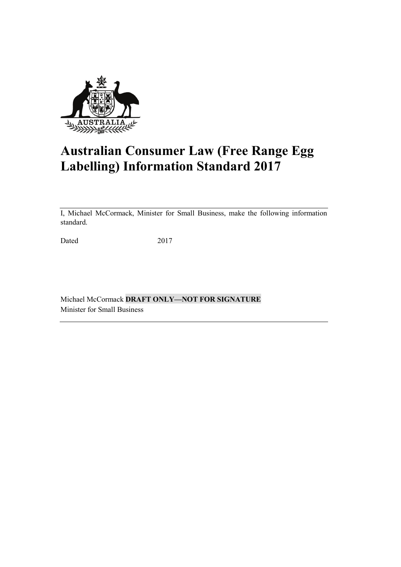

# **Australian Consumer Law (Free Range Egg Labelling) Information Standard 2017**

I, Michael McCormack, Minister for Small Business, make the following information standard.

Dated 2017

Michael McCormack **DRAFT ONLY—NOT FOR SIGNATURE** Minister for Small Business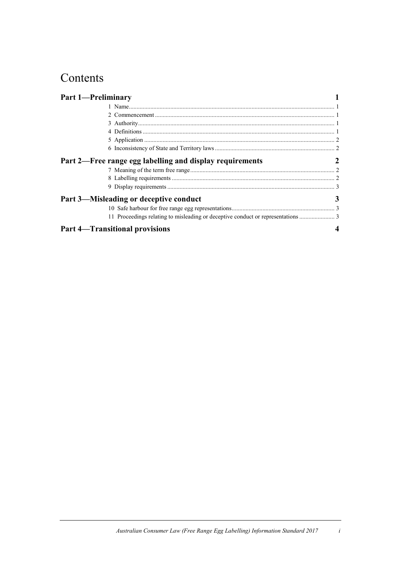## Contents

| <b>Part 1-Preliminary</b> |                                                          |   |
|---------------------------|----------------------------------------------------------|---|
|                           |                                                          |   |
|                           |                                                          |   |
|                           |                                                          |   |
|                           |                                                          |   |
|                           |                                                          |   |
|                           |                                                          |   |
|                           | Part 2—Free range egg labelling and display requirements | 2 |
|                           |                                                          |   |
|                           |                                                          |   |
|                           |                                                          |   |
|                           | Part 3—Misleading or deceptive conduct                   | 3 |
|                           |                                                          |   |
|                           |                                                          |   |
|                           | <b>Part 4—Transitional provisions</b>                    |   |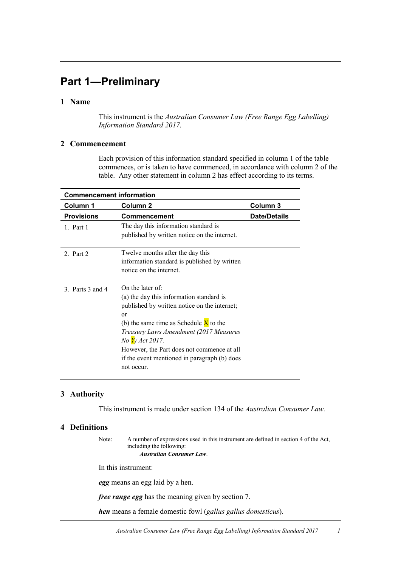## **Part 1—Preliminary**

### **1 Name**

This instrument is the *Australian Consumer Law (Free Range Egg Labelling) Information Standard 2017*.

### **2 Commencement**

Each provision of this information standard specified in column 1 of the table commences, or is taken to have commenced, in accordance with column 2 of the table. Any other statement in column 2 has effect according to its terms.

| <b>Commencement information</b> |                                                                                                                                                                                                                                                                                                                                               |                     |  |
|---------------------------------|-----------------------------------------------------------------------------------------------------------------------------------------------------------------------------------------------------------------------------------------------------------------------------------------------------------------------------------------------|---------------------|--|
| Column 1                        | Column 2                                                                                                                                                                                                                                                                                                                                      | Column 3            |  |
| <b>Provisions</b>               | <b>Commencement</b>                                                                                                                                                                                                                                                                                                                           | <b>Date/Details</b> |  |
| 1. Part 1                       | The day this information standard is<br>published by written notice on the internet.                                                                                                                                                                                                                                                          |                     |  |
| 2. Part $2$                     | Twelve months after the day this<br>information standard is published by written<br>notice on the internet.                                                                                                                                                                                                                                   |                     |  |
| 3 Parts 3 and 4                 | On the later of:<br>(a) the day this information standard is<br>published by written notice on the internet;<br>or<br>(b) the same time as Schedule $\bar{X}$ to the<br>Treasury Laws Amendment (2017 Measures<br>No Y) Act 2017.<br>However, the Part does not commence at all<br>if the event mentioned in paragraph (b) does<br>not occur. |                     |  |

### **3 Authority**

This instrument is made under section 134 of the *Australian Consumer Law.*

### **4 Definitions**

Note: A number of expressions used in this instrument are defined in section 4 of the Act, including the following: *Australian Consumer Law*.

In this instrument:

*egg* means an egg laid by a hen.

*free range egg* has the meaning given by section 7.

*hen* means a female domestic fowl (*gallus gallus domesticus*).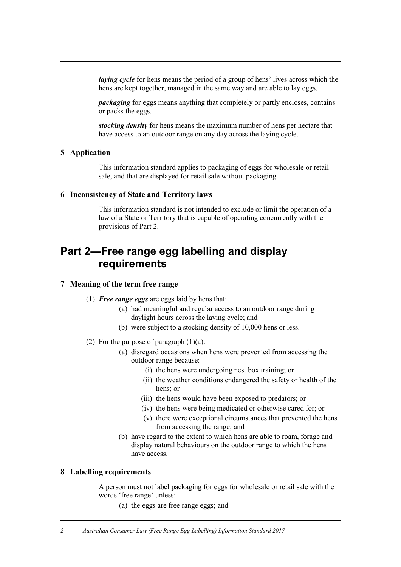*laying cycle* for hens means the period of a group of hens' lives across which the hens are kept together, managed in the same way and are able to lay eggs.

*packaging* for eggs means anything that completely or partly encloses, contains or packs the eggs.

*stocking density* for hens means the maximum number of hens per hectare that have access to an outdoor range on any day across the laying cycle.

### **5 Application**

This information standard applies to packaging of eggs for wholesale or retail sale, and that are displayed for retail sale without packaging.

#### **6 Inconsistency of State and Territory laws**

This information standard is not intended to exclude or limit the operation of a law of a State or Territory that is capable of operating concurrently with the provisions of Part 2.

### **Part 2—Free range egg labelling and display requirements**

### **7 Meaning of the term free range**

- (1) *Free range eggs* are eggs laid by hens that:
	- (a) had meaningful and regular access to an outdoor range during daylight hours across the laying cycle; and
	- (b) were subject to a stocking density of 10,000 hens or less.
- (2) For the purpose of paragraph  $(1)(a)$ :
	- (a) disregard occasions when hens were prevented from accessing the outdoor range because:
		- (i) the hens were undergoing nest box training; or
		- (ii) the weather conditions endangered the safety or health of the hens; or
		- (iii) the hens would have been exposed to predators; or
		- (iv) the hens were being medicated or otherwise cared for; or
		- (v) there were exceptional circumstances that prevented the hens from accessing the range; and
	- (b) have regard to the extent to which hens are able to roam, forage and display natural behaviours on the outdoor range to which the hens have access.

#### **8 Labelling requirements**

A person must not label packaging for eggs for wholesale or retail sale with the words 'free range' unless:

(a) the eggs are free range eggs; and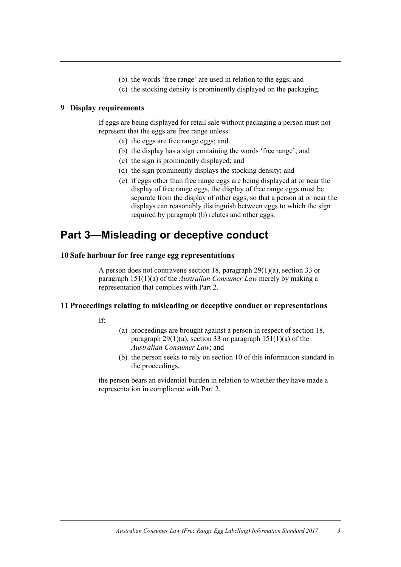- (b) the words 'free range' are used in relation to the eggs; and
- (c) the stocking density is prominently displayed on the packaging.

### **9 Display requirements**

If eggs are being displayed for retail sale without packaging a person must not represent that the eggs are free range unless:

- (a) the eggs are free range eggs; and
- (b) the display has a sign containing the words 'free range'; and
- (c) the sign is prominently displayed; and
- (d) the sign prominently displays the stocking density; and
- (e) if eggs other than free range eggs are being displayed at or near the display of free range eggs, the display of free range eggs must be separate from the display of other eggs, so that a person at or near the displays can reasonably distinguish between eggs to which the sign required by paragraph (b) relates and other eggs.

### **Part 3—Misleading or deceptive conduct**

### **10 Safe harbour for free range egg representations**

A person does not contravene section 18, paragraph 29(1)(a), section 33 or paragraph 151(1)(a) of the *Australian Consumer Law* merely by making a representation that complies with Part 2.

#### **11 Proceedings relating to misleading or deceptive conduct or representations**

If:

- (a) proceedings are brought against a person in respect of section 18, paragraph  $29(1)(a)$ , section 33 or paragraph  $151(1)(a)$  of the *Australian Consumer Law*; and
- (b) the person seeks to rely on section 10 of this information standard in the proceedings,

the person bears an evidential burden in relation to whether they have made a representation in compliance with Part 2.